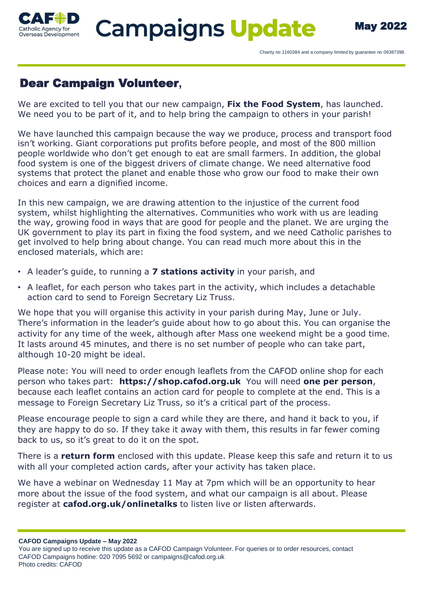

## Dear Campaign Volunteer**,**

We are excited to tell you that our new campaign, **Fix the Food System**, has launched. We need you to be part of it, and to help bring the campaign to others in your parish!

We have launched this campaign because the way we produce, process and transport food isn't working. Giant corporations put profits before people, and most of the 800 million people worldwide who don't get enough to eat are small farmers. In addition, the global food system is one of the biggest drivers of climate change. We need alternative food systems that protect the planet and enable those who grow our food to make their own choices and earn a dignified income.

In this new campaign, we are drawing attention to the injustice of the current food system, whilst highlighting the alternatives. Communities who work with us are leading the way, growing food in ways that are good for people and the planet. We are urging the UK government to play its part in fixing the food system, and we need Catholic parishes to get involved to help bring about change. You can read much more about this in the enclosed materials, which are:

- A leader's guide, to running a **7 stations activity** in your parish, and
- A leaflet, for each person who takes part in the activity, which includes a detachable action card to send to Foreign Secretary Liz Truss.

We hope that you will organise this activity in your parish during May, June or July. There's information in the leader's guide about how to go about this. You can organise the activity for any time of the week, although after Mass one weekend might be a good time. It lasts around 45 minutes, and there is no set number of people who can take part, although 10-20 might be ideal.

Please note: You will need to order enough leaflets from the CAFOD online shop for each person who takes part: **https://shop.cafod.org.uk** You will need **one per person**, because each leaflet contains an action card for people to complete at the end. This is a message to Foreign Secretary Liz Truss, so it's a critical part of the process.

Please encourage people to sign a card while they are there, and hand it back to you, if they are happy to do so. If they take it away with them, this results in far fewer coming back to us, so it's great to do it on the spot.

There is a **return form** enclosed with this update. Please keep this safe and return it to us with all your completed action cards, after your activity has taken place.

We have a webinar on Wednesday 11 May at 7pm which will be an opportunity to hear more about the issue of the food system, and what our campaign is all about. Please register at **cafod.org.uk/onlinetalks** to listen live or listen afterwards.

**CAFOD Campaigns Update – May 2022**

You are signed up to receive this update as a CAFOD Campaign Volunteer. For queries or to order resources, contact CAFOD Campaigns hotline: 020 7095 5692 or campaigns@cafod.org.uk Photo credits: CAFOD